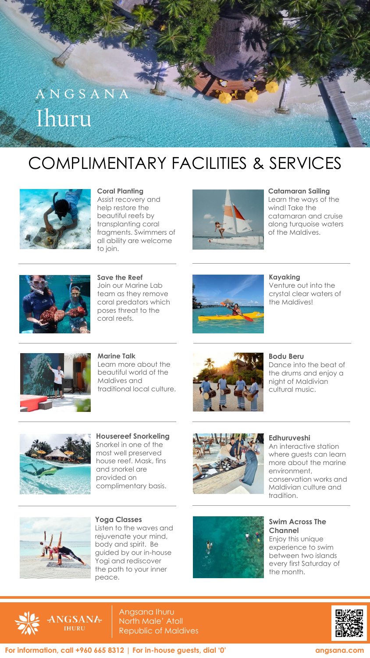

## COMPLIMENTARY FACILITIES & SERVICES



**Coral Planting** Assist recovery and help restore the beautiful reefs by transplanting coral fragments. Swimmers of all ability are welcome to join.



**Catamaran Sailing** Learn the ways of the wind! Take the catamaran and cruise along turquoise waters



**Save the Reef** Join our Marine Lab team as they remove coral predators which poses threat to the coral reefs.



**Kayaking**

Venture out into the crystal clear waters of the Maldives!



**Marine Talk** Learn more about the beautiful world of the Maldives and traditional local culture.



**Bodu Beru**

Dance into the beat of the drums and enjoy a night of Maldivian cultural music.



**Housereef Snorkeling** Snorkel in one of the most well preserved house reef. Mask, fins and snorkel are provided on complimentary basis.



## **Edhuruveshi**

An interactive station where guests can learn more about the marine environment, conservation works and Maldivian culture and tradition.



**Yoga Classes** Listen to the waves and rejuvenate your mind, body and spirit. Be guided by our in-house Yogi and rediscover the path to your inner peace.



**Swim Across The Channel** Enjoy this unique experience to swim between two islands



Angsana Ihuru North Male' Atoll Republic of Maldives